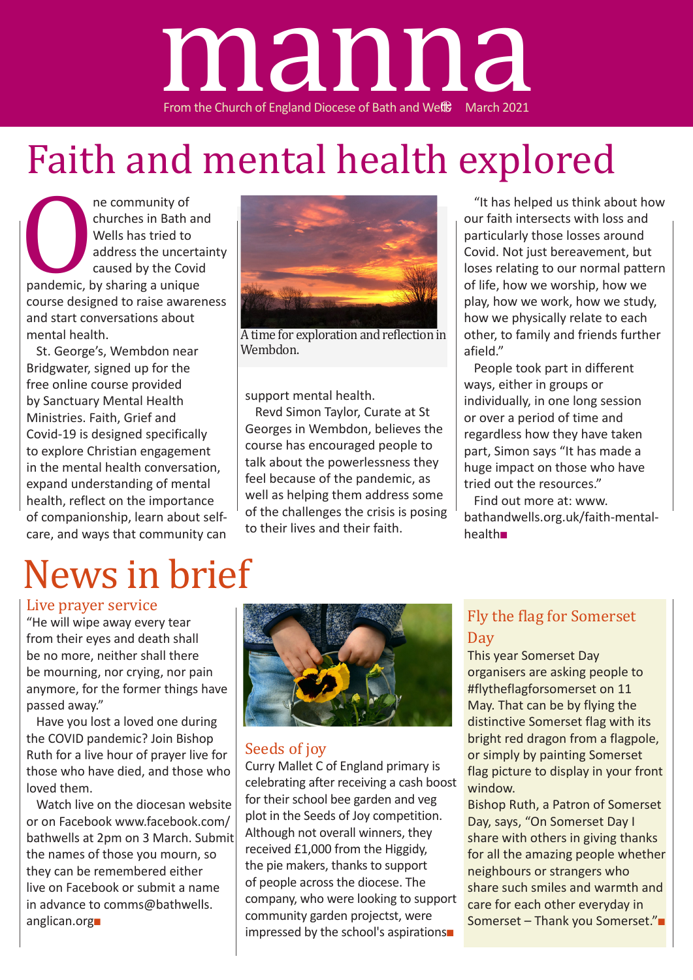

# Faith and mental health explored

ne community of<br>
churches in Bath<br>
Wells has tried to<br>
address the uncer<br>
caused by the Cov<br>
pandemic, by sharing a uniqu<br>
course designed to raise awar<br>
and start conversations about churches in Bath and Wells has tried to address the uncertainty caused by the Covid pandemic, by sharing a unique course designed to raise awareness and start conversations about mental health.

St. George's, Wembdon near Bridgwater, signed up for the free online course provided by Sanctuary Mental Health Ministries. Faith, Grief and Covid-19 is designed specifically to explore Christian engagement in the mental health conversation, expand understanding of mental health, reflect on the importance of companionship, learn about selfcare, and ways that community can

## News in brief

#### Live prayer service

"He will wipe away every tear from their eyes and death shall be no more, neither shall there be mourning, nor crying, nor pain anymore, for the former things have passed away."

Have you lost a loved one during the COVID pandemic? Join Bishop Ruth for a live hour of prayer live for those who have died, and those who loved them.

Watch live on the diocesan website or on Facebook www.facebook.com/ bathwells at 2pm on 3 March. Submit the names of those you mourn, so they can be remembered either live on Facebook or submit a name in advance to comms@bathwells. anglican.org■



A time for exploration and reflection in Wembdon.

support mental health.

Revd Simon Taylor, Curate at St Georges in Wembdon, believes the course has encouraged people to talk about the powerlessness they feel because of the pandemic, as well as helping them address some of the challenges the crisis is posing to their lives and their faith.

"It has helped us think about how our faith intersects with loss and particularly those losses around Covid. Not just bereavement, but loses relating to our normal pattern of life, how we worship, how we play, how we work, how we study, how we physically relate to each other, to family and friends further afield."

People took part in different ways, either in groups or individually, in one long session or over a period of time and regardless how they have taken part, Simon says "It has made a huge impact on those who have tried out the resources."

Find out more at: www. bathandwells.org.uk/faith-mentalhealth■



#### Seeds of joy

Curry Mallet C of England primary is celebrating after receiving a cash boost for their school bee garden and veg plot in the Seeds of Joy competition. Although not overall winners, they received £1,000 from the Higgidy, the pie makers, thanks to support of people across the diocese. The company, who were looking to support community garden projectst, were impressed by the school's aspirations■

#### Fly the flag for Somerset Day

This year Somerset Day organisers are asking people to #flytheflagforsomerset on 11 May. That can be by flying the distinctive Somerset flag with its bright red dragon from a flagpole, or simply by painting Somerset flag picture to display in your front window.

Bishop Ruth, a Patron of Somerset Day, says, "On Somerset Day I share with others in giving thanks for all the amazing people whether neighbours or strangers who share such smiles and warmth and care for each other everyday in Somerset – Thank you Somerset."■